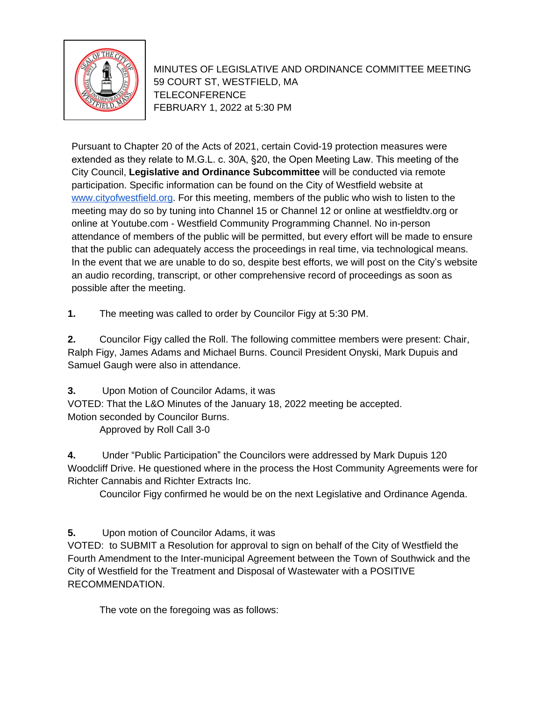

MINUTES OF LEGISLATIVE AND ORDINANCE COMMITTEE MEETING 59 COURT ST, WESTFIELD, MA TELECONFERENCE FEBRUARY 1, 2022 at 5:30 PM

Pursuant to Chapter 20 of the Acts of 2021, certain Covid-19 protection measures were extended as they relate to M.G.L. c. 30A, §20, the Open Meeting Law. This meeting of the City Council, **Legislative and Ordinance Subcommittee** will be conducted via remote participation. Specific information can be found on the City of Westfield website at [www.cityofwestfield.org](http://www.cityofwestfield.org). For this meeting, members of the public who wish to listen to the meeting may do so by tuning into Channel 15 or Channel 12 or online at westfieldtv.org or online at Youtube.com - Westfield Community Programming Channel. No in-person attendance of members of the public will be permitted, but every effort will be made to ensure that the public can adequately access the proceedings in real time, via technological means. In the event that we are unable to do so, despite best efforts, we will post on the City's website an audio recording, transcript, or other comprehensive record of proceedings as soon as possible after the meeting.

**1.** The meeting was called to order by Councilor Figy at 5:30 PM.

**2.** Councilor Figy called the Roll. The following committee members were present: Chair, Ralph Figy, James Adams and Michael Burns. Council President Onyski, Mark Dupuis and Samuel Gaugh were also in attendance.

**3.** Upon Motion of Councilor Adams, it was

VOTED: That the L&O Minutes of the January 18, 2022 meeting be accepted.

Motion seconded by Councilor Burns.

Approved by Roll Call 3-0

**4.** Under "Public Participation" the Councilors were addressed by Mark Dupuis 120 Woodcliff Drive. He questioned where in the process the Host Community Agreements were for Richter Cannabis and Richter Extracts Inc.

Councilor Figy confirmed he would be on the next Legislative and Ordinance Agenda.

**5.** Upon motion of Councilor Adams, it was

VOTED: to SUBMIT a Resolution for approval to sign on behalf of the City of Westfield the Fourth Amendment to the Inter-municipal Agreement between the Town of Southwick and the City of Westfield for the Treatment and Disposal of Wastewater with a POSITIVE RECOMMENDATION.

The vote on the foregoing was as follows: